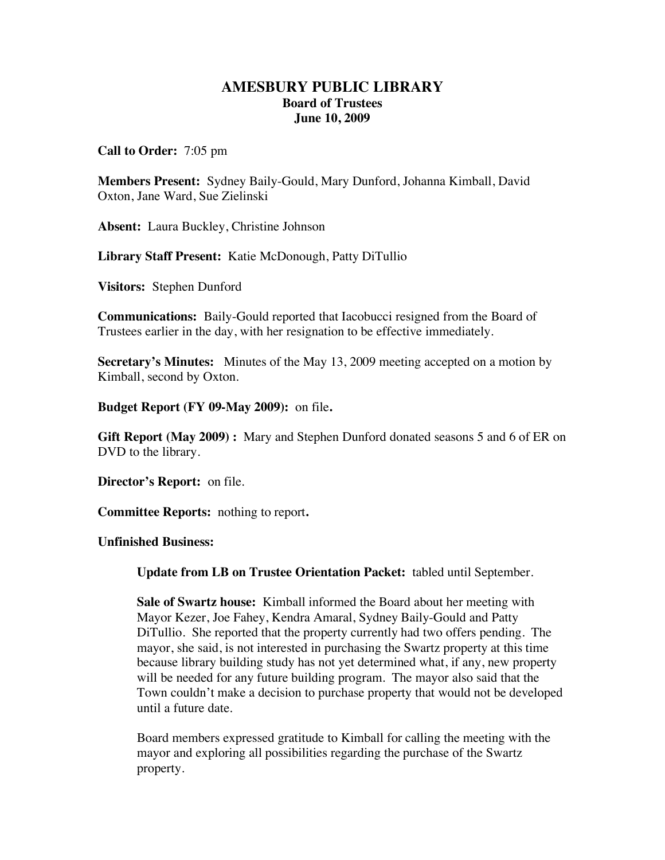## **AMESBURY PUBLIC LIBRARY Board of Trustees June 10, 2009**

**Call to Order:** 7:05 pm

**Members Present:** Sydney Baily-Gould, Mary Dunford, Johanna Kimball, David Oxton, Jane Ward, Sue Zielinski

**Absent:** Laura Buckley, Christine Johnson

**Library Staff Present:** Katie McDonough, Patty DiTullio

**Visitors:** Stephen Dunford

**Communications:** Baily-Gould reported that Iacobucci resigned from the Board of Trustees earlier in the day, with her resignation to be effective immediately.

**Secretary's Minutes:** Minutes of the May 13, 2009 meeting accepted on a motion by Kimball, second by Oxton.

**Budget Report (FY 09-May 2009):** on file**.** 

**Gift Report (May 2009) :** Mary and Stephen Dunford donated seasons 5 and 6 of ER on DVD to the library.

**Director's Report:** on file.

**Committee Reports:** nothing to report**.** 

**Unfinished Business:** 

**Update from LB on Trustee Orientation Packet:** tabled until September.

**Sale of Swartz house:** Kimball informed the Board about her meeting with Mayor Kezer, Joe Fahey, Kendra Amaral, Sydney Baily-Gould and Patty DiTullio. She reported that the property currently had two offers pending. The mayor, she said, is not interested in purchasing the Swartz property at this time because library building study has not yet determined what, if any, new property will be needed for any future building program. The mayor also said that the Town couldn't make a decision to purchase property that would not be developed until a future date.

Board members expressed gratitude to Kimball for calling the meeting with the mayor and exploring all possibilities regarding the purchase of the Swartz property.